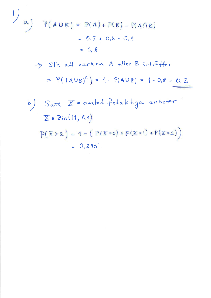1)  
\na) 
$$
P(A \cup B) = P(A) + P(B) - P(A \cap B)
$$
  
\n $= 0.5 + 0.6 - 0.3$   
\n $= 0.8$   
\n $\Rightarrow$  S|h adt varken A eller B intraffer  
\n $= P((A \cup B)^{c}) = 1 - P(A \cup B) = 1 - 0.8 = 0.2$   
\nb) Sått  $X =$  autad felakhiga enheter  
\n $X \in Bin(19, 0.1)$   
\n $P(X > 2) = 1 - (P(X = 0) + P(X = 1) + P(X = 2))$   
\n $= 0.295$ .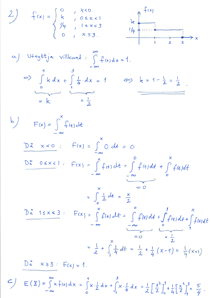2) 
$$
f(x) = \begin{cases} 0 & x < 0 \\ k & 0 \le x < 1 \\ \frac{1}{4} & 1 \le x < 3 \\ 0 & x \ge 3. \end{cases}
$$
  $\xrightarrow{\frac{1}{4}} \frac{f(x)}{1} \xrightarrow{1} \frac{1}{2} \xrightarrow{3} x$ 

a) U+nyttja willkovet : 
$$
\int_{-\infty}^{\infty} f(x)dx = 1
$$
  
\n $\Rightarrow \int_{0}^{1} k dx + \int_{1}^{3} \frac{1}{4} dx = 1 \Leftrightarrow k = 1 - \frac{1}{2} = \frac{1}{2}$   
\n $= k$   $= \frac{1}{2}$ 

b) 
$$
F(x) = \int_{-\infty}^{x} f(t) dt
$$
  
\n $\frac{D\hat{x} \times <0}{2}$ ;  $F(x) = \int_{-\infty}^{x} 0 \cdot dt = 0$   
\n $\frac{D\hat{z} \cdot 0 \le x < 1}{2}$ ;  $F(x) = \int_{-\infty}^{x} f(t) dt = \int_{-\infty}^{0} f(t) dt + \int_{0}^{x} f(t) dt$   
\n $= \int_{0}^{x} \frac{1}{2} dt = \frac{x}{2}$   
\n $\frac{D\hat{z} \cdot 1 \le x < 3}{2}$ ;  $F(x) = \int_{-\infty}^{x} f(t) dt = \int_{-\infty}^{0} f(t) dt + \int_{0}^{1} f(t) dt + \int_{0}^{x} f(t) dt$   
\n $= \int_{-\infty}^{0} \frac{1}{2} dt = \frac{1}{2} + \int_{0}^{x} \frac{1}{4} dt = \frac{1}{2} + \frac{1}{4} (x-1) = \frac{1}{4} (x+1)$   
\n $\frac{D\hat{z} \cdot x > 3}{2} = F(x) = 1$ .

$$
\mathcal{L} = (\mathbf{X}) = \int_{-\infty}^{\infty} x f(x) dx = \int_{0}^{1} x \cdot \frac{1}{2} dx + \int_{1}^{3} x \cdot \frac{1}{4} dx = \frac{1}{2} \left[ \frac{x^{2}}{2} \right]_{0}^{1} + \frac{1}{4} \left[ \frac{x^{3}}{2} \right]_{1}^{3} = \frac{5}{4}.
$$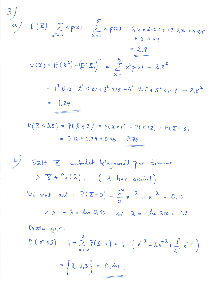$$
\int E(\overline{X}) = \sum_{\alpha \parallel a} x \rho(x) = \sum_{x=1}^{5} x \rho(x) = 0, 12 + 2 \cdot 0, 29 + 3 \cdot 0, 35 + 4 \cdot 0, 15 + 5 \cdot 0, 09 + 5 \cdot 0, 09
$$
  
\n
$$
= 2, 8
$$
  
\n
$$
\sqrt{X} = E(\overline{X}^{2}) - (E(\overline{X}))^{2} = \sum_{x=1}^{5} x^{2} \rho(x) - 2, 8^{2}
$$
  
\n
$$
= 1^{2} \cdot 0, 12 + 2^{2} \cdot 0, 29 + 3^{2} \cdot 0, 35 + 4^{2} \cdot 0, 15 + 5^{2} \cdot 0, 09 - 2, 8^{2}
$$
  
\n
$$
= 1, 24
$$
  
\n
$$
\rho(\overline{X} < 3, 5) = P(\overline{X} < 3) = P(\overline{X} = 1) + P(\overline{X} = 2) + P(\overline{X} = 3)
$$

 $\frac{3}{ }$ 

 $\mathcal{A}$ 

$$
= 0.12 + 0.29 + 0.35 = 0.76.
$$

b) Sâtt  $\overline{X}$  = antalet klagomål per timme.  $\Rightarrow$   $\overline{X}$   $\in$  Po (2) (2) har okant) Vi vet att :  $P(\overline{X}=0) = \frac{\lambda^0}{0!}e^{-\lambda} = e^{-\lambda} = 0.10$  $\iff -\lambda = \ln 0, 10 \iff \lambda = -\ln 0.10 = 2.3$ Detta ger:  $P(X \ge 3) = 1 - \sum_{\nu=0}^{2} P(X = x) = 1 - (e^{-\lambda} + \lambda e^{-\lambda} + \frac{\lambda^{2}}{2!}e^{-\lambda})$ =  $\left\{\lambda = 2.3\right\} = 0.40$ .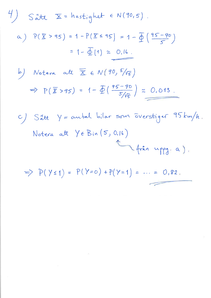$\frac{4}{3}$  S att  $\overline{x}$  = hastighet  $\epsilon$  N(90,5). a)  $P(X > 95) = 1 - P(X \le 95) = 1 - \frac{\sqrt{16}}{5} \left( \frac{95 - 90}{5} \right)$ = 1 -  $\Phi(1) \approx 0.16$ . b) Notera att  $\overline{X} \in N(90, 5/\sqrt{5})$  $\Rightarrow P(\bar{x} > 95) = 1 - \bar{\Phi}(\frac{95 - 90}{5/\sqrt{5}}) \approx 0.013$ . C) S'att Y = autal bilar som ōverstiger 95 km/h. Notera att  $Y \in B$ in (5, 0.16) (från uppg. a).

 $\Rightarrow P(Y \leq 1) = P(Y = 0) + P(Y = 1) = \dots = 0.82.$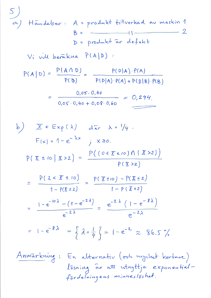5)  
\na) Händeber : A = product 
$$
ti
$$
||verkad av maskin 1  
\n
$$
B = \frac{1}{2}
$$
\n
$$
D = product \text{ or } defekt
$$
\n
$$
Vi \text{ with } berakna \text{ P(A|D)}:
$$
\n
$$
P(A|D) = \frac{P(A \cap D)}{P(D)} = \frac{P(D|A) \cdot P(A)}{P(D|A) \cdot P(A) + P(D|B) \cdot P(B)}
$$
\n
$$
= \frac{0.05 \cdot 0.40}{0.05 \cdot 0.40 + 0.08 \cdot 0.60} = \frac{0.294}{0.05 \cdot 0.40 + 0.08 \cdot 0.60}
$$
\n
$$
F(x) = 1 - e^{-\lambda x} \quad j \times \ge 0.
$$
\n
$$
P(\overline{x} \le 10 | \overline{x} > 2) = \frac{P((0 \le \overline{x} \le 10) \cap (\overline{x} > 2))}{P(\overline{x} > 2)}
$$
\n
$$
= \frac{P(2 < \overline{x} \le 10)}{1 - P(\overline{x} \le 2)} = \frac{P(\overline{x} \le 10) - P(\overline{x} \le 2)}{1 - P(\overline{x} \le 2)}
$$
\n
$$
= \frac{1 - e^{-10\lambda} - (1 - e^{-2\lambda})}{e^{-2\lambda}} = \frac{e^{-2\lambda} (1 - e^{-8\lambda})}{e^{-2\lambda}}
$$
\n
$$
= 1 - e^{-8\lambda} = \frac{2}{\lambda} \lambda = \frac{1}{4} \lambda = 1 - e^{-2\lambda} \approx 86.5 \lambda
$$

Anmarkning: En alternativ (och nycket kortare)<br>10 lösning år att utnyttja exponential-<br>fördelningens minneslöshet.